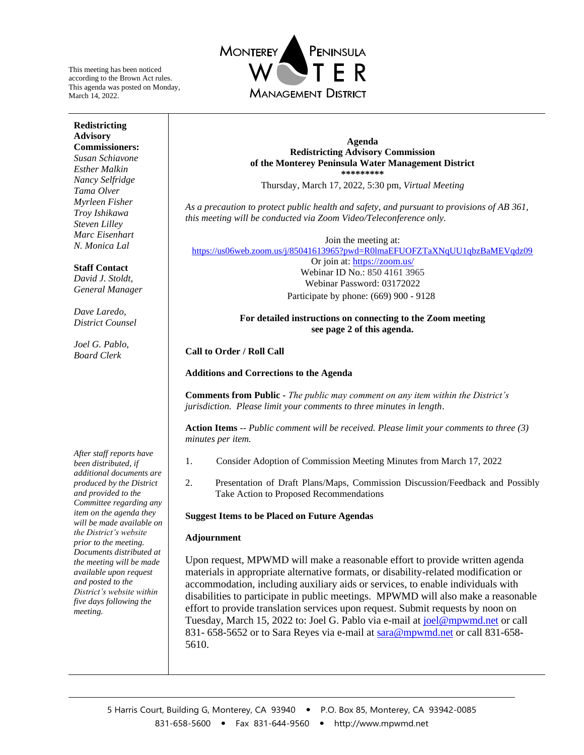This meeting has been noticed according to the Brown Act rules. This agenda was posted on Monday, March 14, 2022.



#### **Redistricting Advisory Commissioners:**

*Susan Schiavone Esther Malkin Nancy Selfridge Tama Olver Myrleen Fisher Troy Ishikawa Steven Lilley Marc Eisenhart N. Monica Lal*

## **Staff Contact**

*David J. Stoldt, General Manager*

*Dave Laredo, District Counsel*

*Joel G. Pablo, Board Clerk*

*After staff reports have been distributed, if additional documents are produced by the District and provided to the Committee regarding any item on the agenda they will be made available on the District's website prior to the meeting. Documents distributed at the meeting will be made available upon request and posted to the District's website within five days following the meeting.*

#### **Agenda Redistricting Advisory Commission of the Monterey Peninsula Water Management District \*\*\*\*\*\*\*\*\***

Thursday, March 17, 2022, 5:30 pm, *Virtual Meeting*

*As a precaution to protect public health and safety, and pursuant to provisions of AB 361, this meeting will be conducted via Zoom Video/Teleconference only.* 

Join the meeting at: <https://us06web.zoom.us/j/85041613965?pwd=R0lmaEFUOFZTaXNqUU1qbzBaMEVqdz09> Or join at:<https://zoom.us/> Webinar ID No.: 850 4161 3965 Webinar Password: 03172022 Participate by phone: (669) 900 - 9128

> **For detailed instructions on connecting to the Zoom meeting see page 2 of this agenda.**

**Call to Order / Roll Call**

**Additions and Corrections to the Agenda**

**Comments from Public -** *The public may comment on any item within the District's jurisdiction. Please limit your comments to three minutes in length*.

**Action Items** -- *Public comment will be received. Please limit your comments to three (3) minutes per item.* 

- 1. Consider Adoption of Commission Meeting Minutes from March 17, 2022
- 2. Presentation of Draft Plans/Maps, Commission Discussion/Feedback and Possibly Take Action to Proposed Recommendations

### **Suggest Items to be Placed on Future Agendas**

### **Adjournment**

Upon request, MPWMD will make a reasonable effort to provide written agenda materials in appropriate alternative formats, or disability-related modification or accommodation, including auxiliary aids or services, to enable individuals with disabilities to participate in public meetings. MPWMD will also make a reasonable effort to provide translation services upon request. Submit requests by noon on Tuesday, March 15, 2022 to: Joel G. Pablo via e-mail a[t joel@mpwmd.net](mailto:joel@mpwmd.net) or call 831- 658-5652 or to Sara Reyes via e-mail at [sara@mpwmd.net](mailto:sara@mpwmd.net) or call 831-658-5610.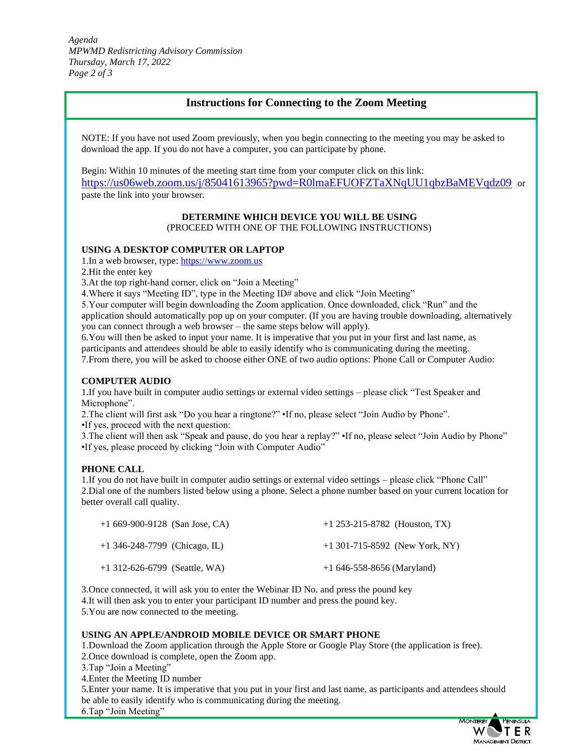*Agenda MPWMD Redistricting Advisory Commission Thursday, March 17, 2022 Page 2 of 3*

# **Instructions for Connecting to the Zoom Meeting**

NOTE: If you have not used Zoom previously, when you begin connecting to the meeting you may be asked to download the app. If you do not have a computer, you can participate by phone.

Begin: Within 10 minutes of the meeting start time from your computer click on this link: <https://us06web.zoom.us/j/85041613965?pwd=R0lmaEFUOFZTaXNqUU1qbzBaMEVqdz09> or paste the link into your browser.

#### **DETERMINE WHICH DEVICE YOU WILL BE USING** (PROCEED WITH ONE OF THE FOLLOWING INSTRUCTIONS)

#### **USING A DESKTOP COMPUTER OR LAPTOP**

1.In a web browser, type[: https://www.zoom.us](https://www.zoom.us/) 

2.Hit the enter key

3.At the top right-hand corner, click on "Join a Meeting"

4.Where it says "Meeting ID", type in the Meeting ID# above and click "Join Meeting"

5.Your computer will begin downloading the Zoom application. Once downloaded, click "Run" and the application should automatically pop up on your computer. (If you are having trouble downloading, alternatively you can connect through a web browser – the same steps below will apply).

6.You will then be asked to input your name. It is imperative that you put in your first and last name, as participants and attendees should be able to easily identify who is communicating during the meeting. 7.From there, you will be asked to choose either ONE of two audio options: Phone Call or Computer Audio:

#### **COMPUTER AUDIO**

1.If you have built in computer audio settings or external video settings – please click "Test Speaker and Microphone".

2.The client will first ask "Do you hear a ringtone?" •If no, please select "Join Audio by Phone". •If yes, proceed with the next question:

3.The client will then ask "Speak and pause, do you hear a replay?" •If no, please select "Join Audio by Phone" •If yes, please proceed by clicking "Join with Computer Audio"

### **PHONE CALL**

1.If you do not have built in computer audio settings or external video settings – please click "Phone Call" 2.Dial one of the numbers listed below using a phone. Select a phone number based on your current location for better overall call quality.

| $+1669-900-9128$ (San Jose, CA) | $+1$ 253-215-8782 (Houston, TX)  |
|---------------------------------|----------------------------------|
| $+1$ 346-248-7799 (Chicago, IL) | $+1$ 301-715-8592 (New York, NY) |
| $+1$ 312-626-6799 (Seattle, WA) | $+1646-558-8656$ (Maryland)      |

3.Once connected, it will ask you to enter the Webinar ID No. and press the pound key 4.It will then ask you to enter your participant ID number and press the pound key. 5.You are now connected to the meeting.

### **USING AN APPLE/ANDROID MOBILE DEVICE OR SMART PHONE**

1.Download the Zoom application through the Apple Store or Google Play Store (the application is free).

- 2.Once download is complete, open the Zoom app.
- 3.Tap "Join a Meeting"

4.Enter the Meeting ID number

5.Enter your name. It is imperative that you put in your first and last name, as participants and attendees should be able to easily identify who is communicating during the meeting. 6.Tap "Join Meeting"